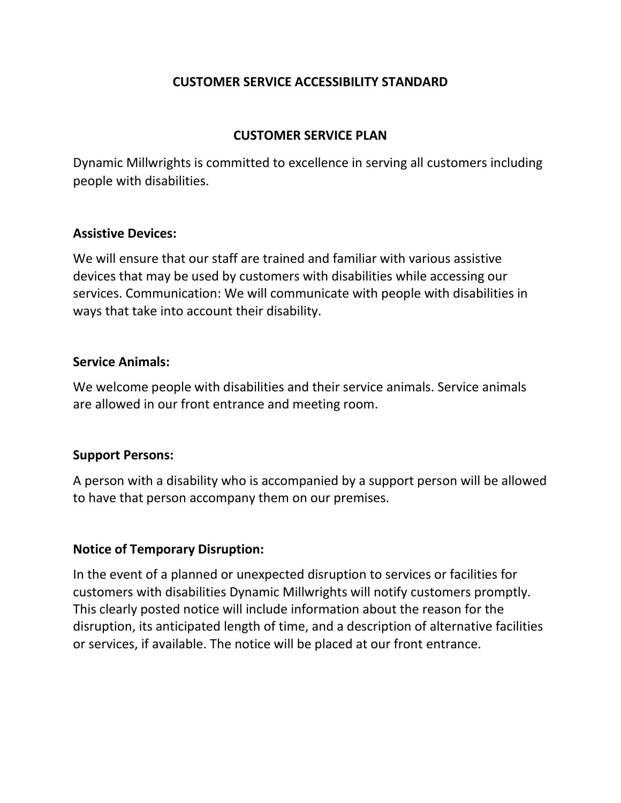# **CUSTOMER SERVICE ACCESSIBILITY STANDARD**

# **CUSTOMER SERVICE PLAN**

Dynamic Millwrights is committed to excellence in serving all customers including people with disabilities.

#### **Assistive Devices:**

We will ensure that our staff are trained and familiar with various assistive devices that may be used by customers with disabilities while accessing our services. Communication: We will communicate with people with disabilities in ways that take into account their disability.

#### **Service Animals:**

We welcome people with disabilities and their service animals. Service animals are allowed in our front entrance and meeting room.

## **Support Persons:**

A person with a disability who is accompanied by a support person will be allowed to have that person accompany them on our premises.

## **Notice of Temporary Disruption:**

In the event of a planned or unexpected disruption to services or facilities for customers with disabilities Dynamic Millwrights will notify customers promptly. This clearly posted notice will include information about the reason for the disruption, its anticipated length of time, and a description of alternative facilities or services, if available. The notice will be placed at our front entrance.